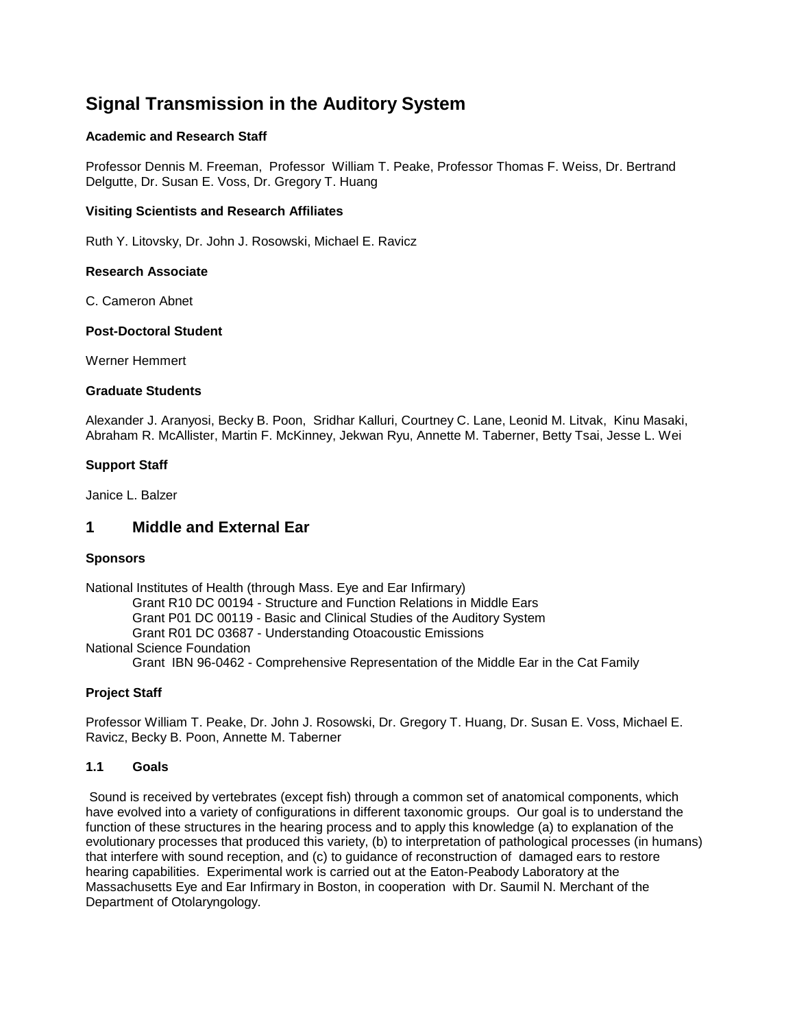# **Signal Transmission in the Auditory System**

### **Academic and Research Staff**

Professor Dennis M. Freeman, Professor William T. Peake, Professor Thomas F. Weiss, Dr. Bertrand Delgutte, Dr. Susan E. Voss, Dr. Gregory T. Huang

### **Visiting Scientists and Research Affiliates**

Ruth Y. Litovsky, Dr. John J. Rosowski, Michael E. Ravicz

#### **Research Associate**

C. Cameron Abnet

### **Post-Doctoral Student**

Werner Hemmert

#### **Graduate Students**

Alexander J. Aranyosi, Becky B. Poon, Sridhar Kalluri, Courtney C. Lane, Leonid M. Litvak, Kinu Masaki, Abraham R. McAllister, Martin F. McKinney, Jekwan Ryu, Annette M. Taberner, Betty Tsai, Jesse L. Wei

### **Support Staff**

Janice L. Balzer

### **1 Middle and External Ear**

#### **Sponsors**

National Institutes of Health (through Mass. Eye and Ear Infirmary) Grant R10 DC 00194 - Structure and Function Relations in Middle Ears Grant P01 DC 00119 - Basic and Clinical Studies of the Auditory System Grant R01 DC 03687 - Understanding Otoacoustic Emissions National Science Foundation Grant IBN 96-0462 - Comprehensive Representation of the Middle Ear in the Cat Family

### **Project Staff**

Professor William T. Peake, Dr. John J. Rosowski, Dr. Gregory T. Huang, Dr. Susan E. Voss, Michael E. Ravicz, Becky B. Poon, Annette M. Taberner

### **1.1 Goals**

Sound is received by vertebrates (except fish) through a common set of anatomical components, which have evolved into a variety of configurations in different taxonomic groups. Our goal is to understand the function of these structures in the hearing process and to apply this knowledge (a) to explanation of the evolutionary processes that produced this variety, (b) to interpretation of pathological processes (in humans) that interfere with sound reception, and (c) to guidance of reconstruction of damaged ears to restore hearing capabilities. Experimental work is carried out at the Eaton-Peabody Laboratory at the Massachusetts Eye and Ear Infirmary in Boston, in cooperation with Dr. Saumil N. Merchant of the Department of Otolaryngology.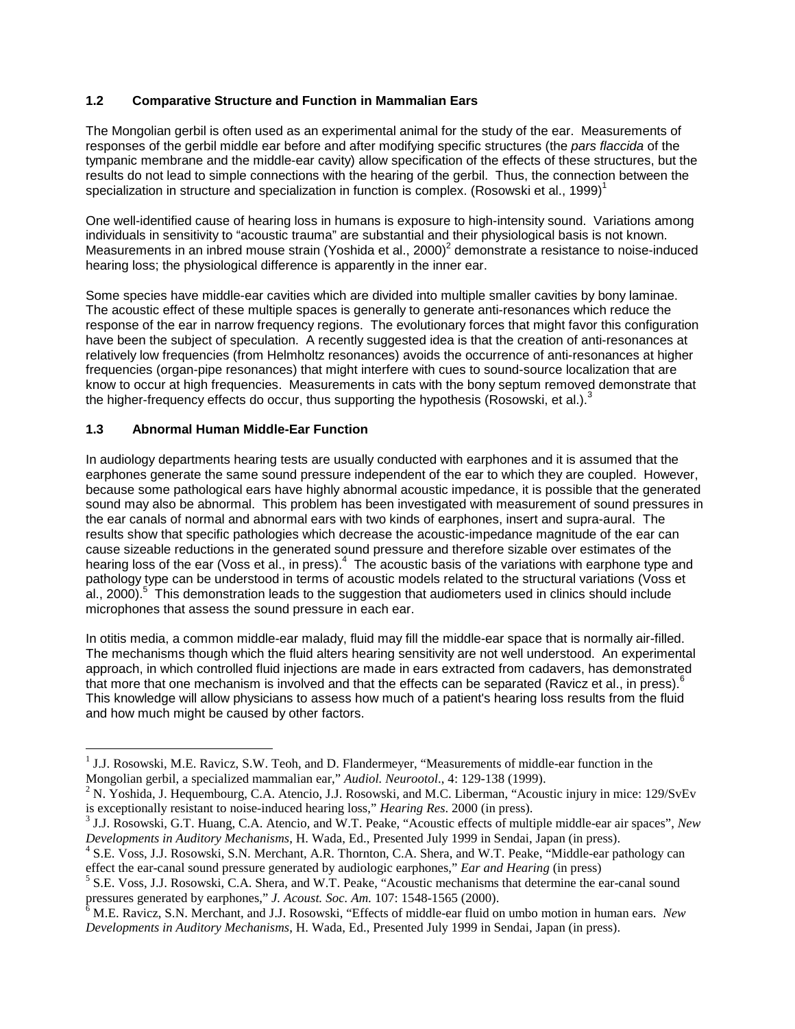### **1.2 Comparative Structure and Function in Mammalian Ears**

The Mongolian gerbil is often used as an experimental animal for the study of the ear. Measurements of responses of the gerbil middle ear before and after modifying specific structures (the *pars flaccida* of the tympanic membrane and the middle-ear cavity) allow specification of the effects of these structures, but the results do not lead to simple connections with the hearing of the gerbil. Thus, the connection between the specialization in structure and specialization in function is complex. (Rosowski et al., 1999)<sup>1</sup>

One well-identified cause of hearing loss in humans is exposure to high-intensity sound. Variations among individuals in sensitivity to "acoustic trauma" are substantial and their physiological basis is not known. Measurements in an inbred mouse strain (Yoshida et al.,  $2000<sup>2</sup>$  demonstrate a resistance to noise-induced hearing loss; the physiological difference is apparently in the inner ear.

Some species have middle-ear cavities which are divided into multiple smaller cavities by bony laminae. The acoustic effect of these multiple spaces is generally to generate anti-resonances which reduce the response of the ear in narrow frequency regions. The evolutionary forces that might favor this configuration have been the subject of speculation. A recently suggested idea is that the creation of anti-resonances at relatively low frequencies (from Helmholtz resonances) avoids the occurrence of anti-resonances at higher frequencies (organ-pipe resonances) that might interfere with cues to sound-source localization that are know to occur at high frequencies. Measurements in cats with the bony septum removed demonstrate that the higher-frequency effects do occur, thus supporting the hypothesis (Rosowski, et al.). $3$ 

### **1.3 Abnormal Human Middle-Ear Function**

In audiology departments hearing tests are usually conducted with earphones and it is assumed that the earphones generate the same sound pressure independent of the ear to which they are coupled. However, because some pathological ears have highly abnormal acoustic impedance, it is possible that the generated sound may also be abnormal. This problem has been investigated with measurement of sound pressures in the ear canals of normal and abnormal ears with two kinds of earphones, insert and supra-aural. The results show that specific pathologies which decrease the acoustic-impedance magnitude of the ear can cause sizeable reductions in the generated sound pressure and therefore sizable over estimates of the hearing loss of the ear (Voss et al., in press).<sup>4</sup> The acoustic basis of the variations with earphone type and pathology type can be understood in terms of acoustic models related to the structural variations (Voss et al., 2000).<sup>5</sup> This demonstration leads to the suggestion that audiometers used in clinics should include microphones that assess the sound pressure in each ear.

In otitis media, a common middle-ear malady, fluid may fill the middle-ear space that is normally air-filled. The mechanisms though which the fluid alters hearing sensitivity are not well understood. An experimental approach, in which controlled fluid injections are made in ears extracted from cadavers, has demonstrated that more that one mechanism is involved and that the effects can be separated (Ravicz et al., in press).<sup>6</sup> This knowledge will allow physicians to assess how much of a patient's hearing loss results from the fluid and how much might be caused by other factors.

<sup>&</sup>lt;sup>1</sup> J.J. Rosowski, M.E. Ravicz, S.W. Teoh, and D. Flandermeyer, "Measurements of middle-ear function in the Mongolian gerbil, a specialized mammalian ear," *Audiol. Neurootol.*, 4: 129-138 (1999).

<sup>&</sup>lt;sup>2</sup> N. Yoshida, J. Hequembourg, C.A. Atencio, J.J. Rosowski, and M.C. Liberman, "Acoustic injury in mice: 129/SvEv is exceptionally resistant to noise-induced hearing loss," *Hearing Res.* 2000 (in press).

<sup>&</sup>lt;sup>3</sup> J.J. Rosowski, G.T. Huang, C.A. Atencio, and W.T. Peake, "Acoustic effects of multiple middle-ear air spaces", *New* 

*Developments in Auditory Mechanisms*, H. Wada, Ed., Presented July 1999 in Sendai, Japan (in press). <sup>4</sup> S.E. Voss, J.J. Rosowski, S.N. Merchant, A.R. Thornton, C.A. Shera, and W.T. Peake, "Middle-ear pathology can effect the ear-canal sound pressure generated by audiologic earphones," *Ear and Hearing* (in press)<br><sup>5</sup> S.E. Voss, J.J. Rosowski, C.A. Shera, and W.T. Peake, "Acoustic mechanisms that determine the ear-canal sound

pressures generated by earphones," *J. Acoust. Soc. Am.* 107: 1548-1565 (2000). <sup>6</sup> M.E. Ravicz, S.N. Merchant, and J.J. Rosowski, "Effects of middle-ear fluid on umbo motion in human ears. *New*

*Developments in Auditory Mechanisms*, H. Wada, Ed., Presented July 1999 in Sendai, Japan (in press).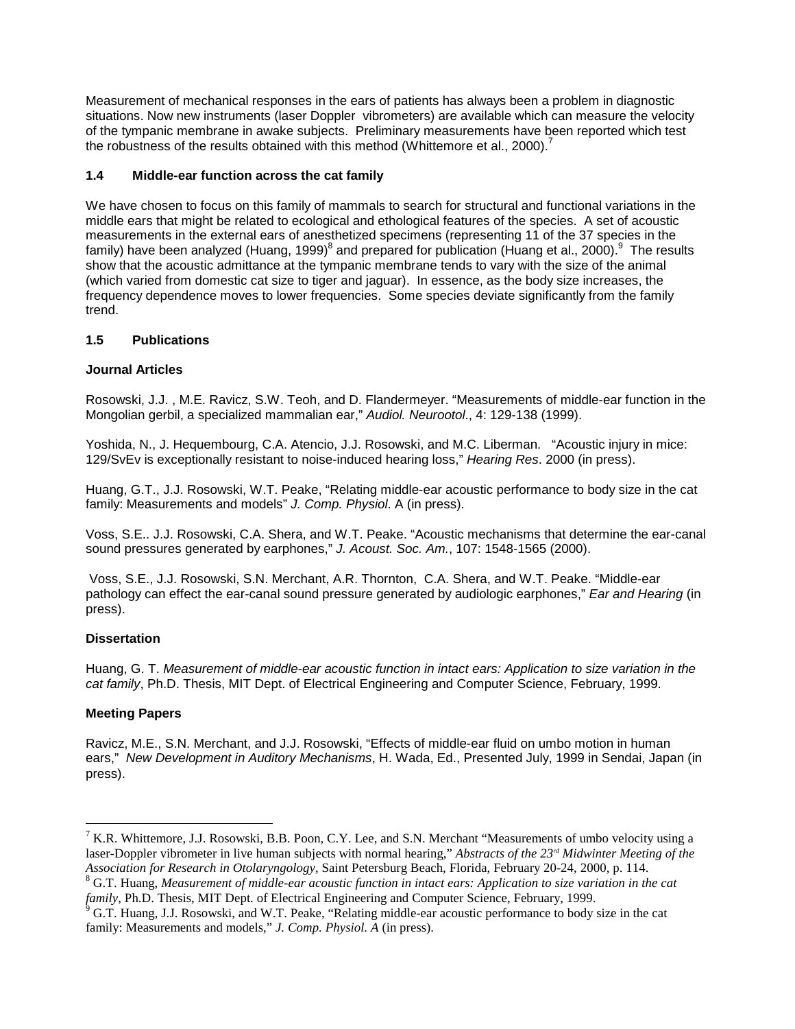Measurement of mechanical responses in the ears of patients has always been a problem in diagnostic situations. Now new instruments (laser Doppler vibrometers) are available which can measure the velocity of the tympanic membrane in awake subjects. Preliminary measurements have been reported which test the robustness of the results obtained with this method (Whittemore et al., 2000).<sup>7</sup>

### **1.4 Middle-ear function across the cat family**

We have chosen to focus on this family of mammals to search for structural and functional variations in the middle ears that might be related to ecological and ethological features of the species. A set of acoustic measurements in the external ears of anesthetized specimens (representing 11 of the 37 species in the family) have been analyzed (Huang, 1999)<sup>8</sup> and prepared for publication (Huang et al., 2000).<sup>9</sup> The results show that the acoustic admittance at the tympanic membrane tends to vary with the size of the animal (which varied from domestic cat size to tiger and jaguar). In essence, as the body size increases, the frequency dependence moves to lower frequencies. Some species deviate significantly from the family trend.

### **1.5 Publications**

### **Journal Articles**

Rosowski, J.J. , M.E. Ravicz, S.W. Teoh, and D. Flandermeyer. "Measurements of middle-ear function in the Mongolian gerbil, a specialized mammalian ear," *Audiol. Neurootol*., 4: 129-138 (1999).

Yoshida, N., J. Hequembourg, C.A. Atencio, J.J. Rosowski, and M.C. Liberman. "Acoustic injury in mice: 129/SvEv is exceptionally resistant to noise-induced hearing loss," *Hearing Res*. 2000 (in press).

Huang, G.T., J.J. Rosowski, W.T. Peake, "Relating middle-ear acoustic performance to body size in the cat family: Measurements and models" *J. Comp. Physiol*. A (in press).

Voss, S.E.. J.J. Rosowski, C.A. Shera, and W.T. Peake. "Acoustic mechanisms that determine the ear-canal sound pressures generated by earphones," *J. Acoust. Soc. Am.*, 107: 1548-1565 (2000).

Voss, S.E., J.J. Rosowski, S.N. Merchant, A.R. Thornton, C.A. Shera, and W.T. Peake. "Middle-ear pathology can effect the ear-canal sound pressure generated by audiologic earphones," *Ear and Hearing* (in press).

#### **Dissertation**

Huang, G. T. *Measurement of middle-ear acoustic function in intact ears: Application to size variation in the cat family*, Ph.D. Thesis, MIT Dept. of Electrical Engineering and Computer Science, February, 1999.

### **Meeting Papers**

Ravicz, M.E., S.N. Merchant, and J.J. Rosowski, "Effects of middle-ear fluid on umbo motion in human ears," *New Development in Auditory Mechanisms*, H. Wada, Ed., Presented July, 1999 in Sendai, Japan (in press).

<sup>&</sup>lt;sup>7</sup> K.R. Whittemore, J.J. Rosowski, B.B. Poon, C.Y. Lee, and S.N. Merchant "Measurements of umbo velocity using a laser-Doppler vibrometer in live human subjects with normal hearing," *Abstracts of the 23rd Midwinter Meeting of the* Association for Research in Otolaryngology, Saint Petersburg Beach, Florida, February 20-24, 2000, p. 114.<br><sup>8</sup> G.T. Huang, Measurement of middle-ear acoustic function in intact ears: Application to size variation in the ca

*family*, Ph.D. Thesis, MIT Dept. of Electrical Engineering and Computer Science, February, 1999.<br><sup>9</sup> G.T. Huang, J.J. Rosowski, and W.T. Peake, "Relating middle-ear acoustic performance to body size in the cat

family: Measurements and models," *J. Comp. Physiol. A* (in press).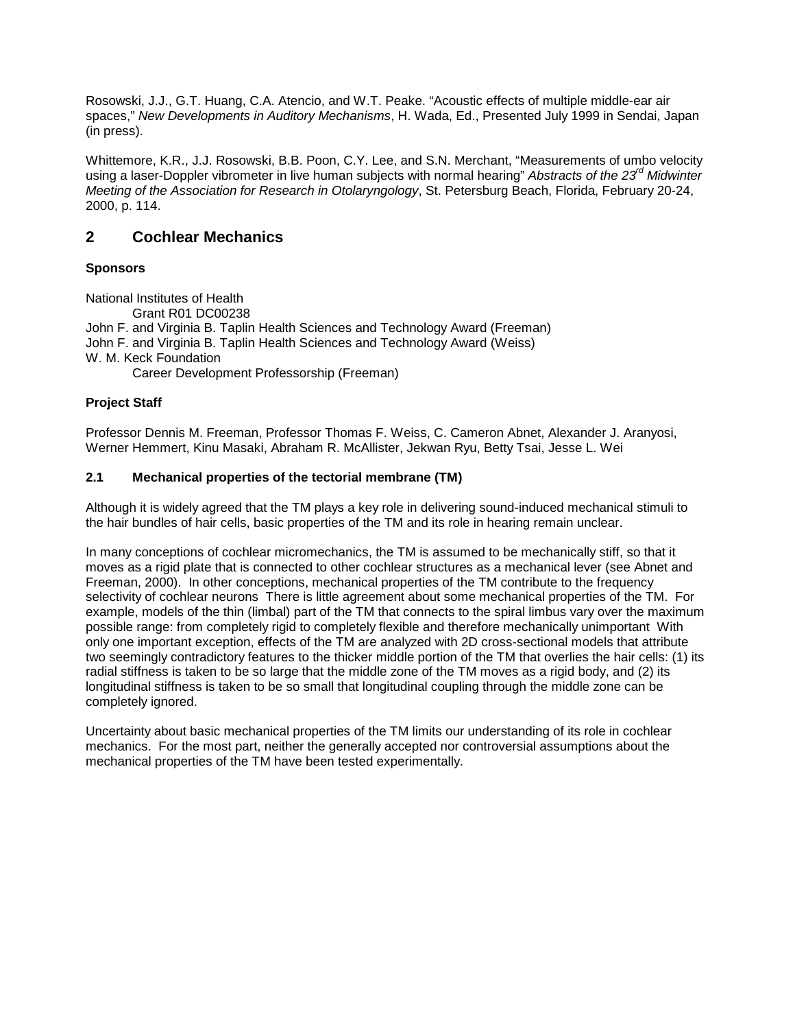Rosowski, J.J., G.T. Huang, C.A. Atencio, and W.T. Peake. "Acoustic effects of multiple middle-ear air spaces," *New Developments in Auditory Mechanisms*, H. Wada, Ed., Presented July 1999 in Sendai, Japan (in press).

Whittemore, K.R., J.J. Rosowski, B.B. Poon, C.Y. Lee, and S.N. Merchant, "Measurements of umbo velocity using a laser-Doppler vibrometer in live human subjects with normal hearing" *Abstracts of the 23<sup>rd</sup> Midwinter Meeting of the Association for Research in Otolaryngology*, St. Petersburg Beach, Florida, February 20-24, 2000, p. 114.

## **2 Cochlear Mechanics**

### **Sponsors**

National Institutes of Health Grant R01 DC00238 John F. and Virginia B. Taplin Health Sciences and Technology Award (Freeman) John F. and Virginia B. Taplin Health Sciences and Technology Award (Weiss)

W. M. Keck Foundation

Career Development Professorship (Freeman)

### **Project Staff**

Professor Dennis M. Freeman, Professor Thomas F. Weiss, C. Cameron Abnet, Alexander J. Aranyosi, Werner Hemmert, Kinu Masaki, Abraham R. McAllister, Jekwan Ryu, Betty Tsai, Jesse L. Wei

### **2.1 Mechanical properties of the tectorial membrane (TM)**

Although it is widely agreed that the TM plays a key role in delivering sound-induced mechanical stimuli to the hair bundles of hair cells, basic properties of the TM and its role in hearing remain unclear.

In many conceptions of cochlear micromechanics, the TM is assumed to be mechanically stiff, so that it moves as a rigid plate that is connected to other cochlear structures as a mechanical lever (see Abnet and Freeman, 2000). In other conceptions, mechanical properties of the TM contribute to the frequency selectivity of cochlear neurons There is little agreement about some mechanical properties of the TM. For example, models of the thin (limbal) part of the TM that connects to the spiral limbus vary over the maximum possible range: from completely rigid to completely flexible and therefore mechanically unimportant With only one important exception, effects of the TM are analyzed with 2D cross-sectional models that attribute two seemingly contradictory features to the thicker middle portion of the TM that overlies the hair cells: (1) its radial stiffness is taken to be so large that the middle zone of the TM moves as a rigid body, and (2) its longitudinal stiffness is taken to be so small that longitudinal coupling through the middle zone can be completely ignored.

Uncertainty about basic mechanical properties of the TM limits our understanding of its role in cochlear mechanics. For the most part, neither the generally accepted nor controversial assumptions about the mechanical properties of the TM have been tested experimentally.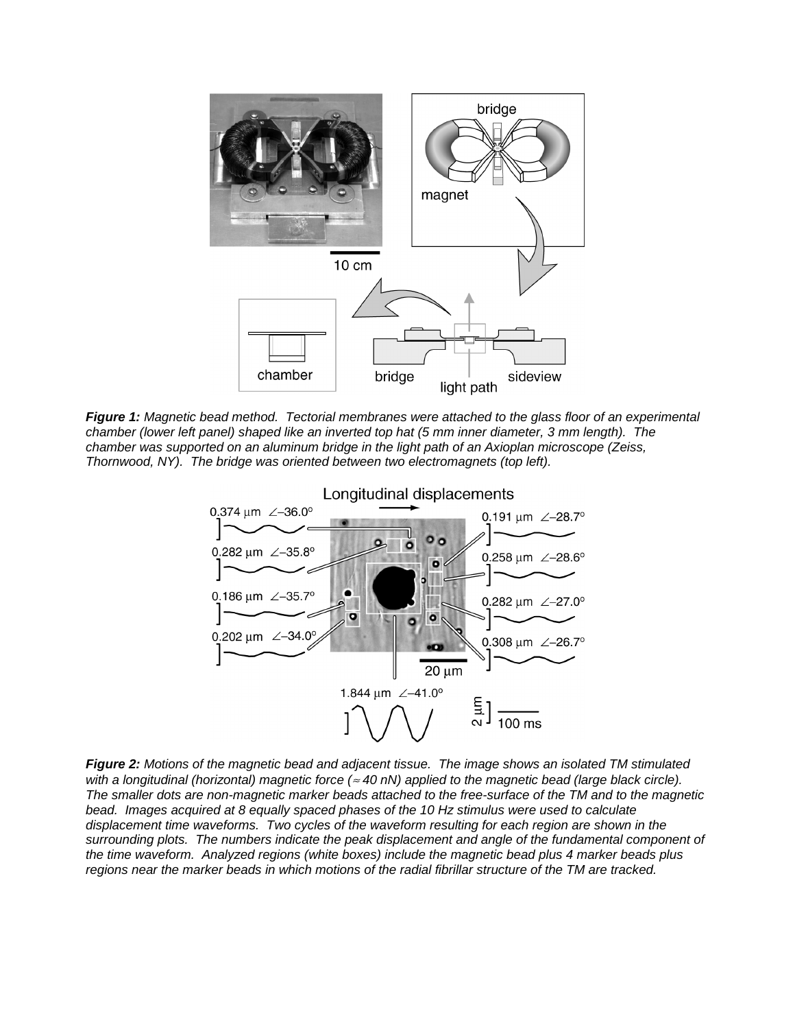

*Figure 1: Magnetic bead method. Tectorial membranes were attached to the glass floor of an experimental chamber (lower left panel) shaped like an inverted top hat (5 mm inner diameter, 3 mm length). The chamber was supported on an aluminum bridge in the light path of an Axioplan microscope (Zeiss, Thornwood, NY). The bridge was oriented between two electromagnets (top left).*



*Figure 2: Motions of the magnetic bead and adjacent tissue. The image shows an isolated TM stimulated with a longitudinal (horizontal) magnetic force (*<sup>≈</sup> *40 nN) applied to the magnetic bead (large black circle). The smaller dots are non-magnetic marker beads attached to the free-surface of the TM and to the magnetic bead. Images acquired at 8 equally spaced phases of the 10 Hz stimulus were used to calculate displacement time waveforms. Two cycles of the waveform resulting for each region are shown in the surrounding plots. The numbers indicate the peak displacement and angle of the fundamental component of the time waveform. Analyzed regions (white boxes) include the magnetic bead plus 4 marker beads plus regions near the marker beads in which motions of the radial fibrillar structure of the TM are tracked.*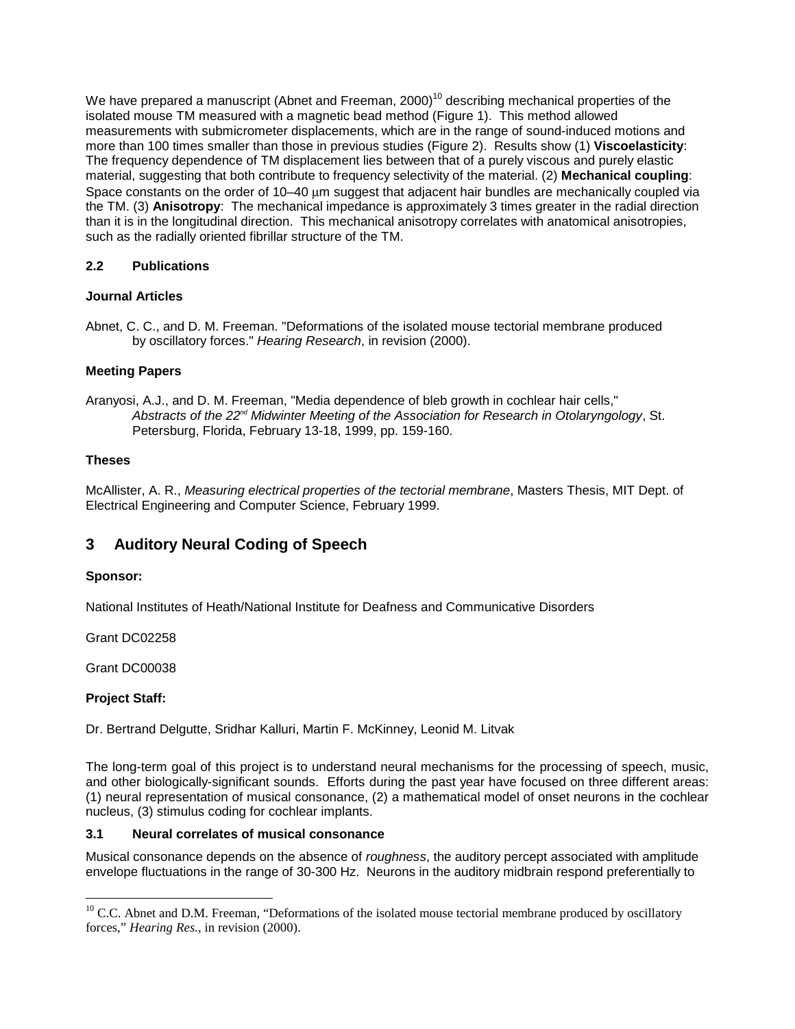We have prepared a manuscript (Abnet and Freeman, 2000)<sup>10</sup> describing mechanical properties of the isolated mouse TM measured with a magnetic bead method (Figure 1). This method allowed measurements with submicrometer displacements, which are in the range of sound-induced motions and more than 100 times smaller than those in previous studies (Figure 2). Results show (1) **Viscoelasticity**: The frequency dependence of TM displacement lies between that of a purely viscous and purely elastic material, suggesting that both contribute to frequency selectivity of the material. (2) **Mechanical coupling**: Space constants on the order of 10–40 µm suggest that adjacent hair bundles are mechanically coupled via the TM. (3) **Anisotropy**: The mechanical impedance is approximately 3 times greater in the radial direction than it is in the longitudinal direction. This mechanical anisotropy correlates with anatomical anisotropies, such as the radially oriented fibrillar structure of the TM.

### **2.2 Publications**

### **Journal Articles**

Abnet, C. C., and D. M. Freeman. "Deformations of the isolated mouse tectorial membrane produced by oscillatory forces." *Hearing Research*, in revision (2000).

### **Meeting Papers**

Aranyosi, A.J., and D. M. Freeman, "Media dependence of bleb growth in cochlear hair cells," *Abstracts of the 22nd Midwinter Meeting of the Association for Research in Otolaryngology*, St. Petersburg, Florida, February 13-18, 1999, pp. 159-160.

### **Theses**

McAllister, A. R., *Measuring electrical properties of the tectorial membrane*, Masters Thesis, MIT Dept. of Electrical Engineering and Computer Science, February 1999.

# **3 Auditory Neural Coding of Speech**

### **Sponsor:**

National Institutes of Heath/National Institute for Deafness and Communicative Disorders

Grant DC02258

Grant DC00038

### **Project Staff:**

Dr. Bertrand Delgutte, Sridhar Kalluri, Martin F. McKinney, Leonid M. Litvak

The long-term goal of this project is to understand neural mechanisms for the processing of speech, music, and other biologically-significant sounds. Efforts during the past year have focused on three different areas: (1) neural representation of musical consonance, (2) a mathematical model of onset neurons in the cochlear nucleus, (3) stimulus coding for cochlear implants.

### **3.1 Neural correlates of musical consonance**

Musical consonance depends on the absence of *roughness*, the auditory percept associated with amplitude envelope fluctuations in the range of 30-300 Hz. Neurons in the auditory midbrain respond preferentially to

 $10$  C.C. Abnet and D.M. Freeman, "Deformations of the isolated mouse tectorial membrane produced by oscillatory forces," *Hearing Res.*, in revision (2000).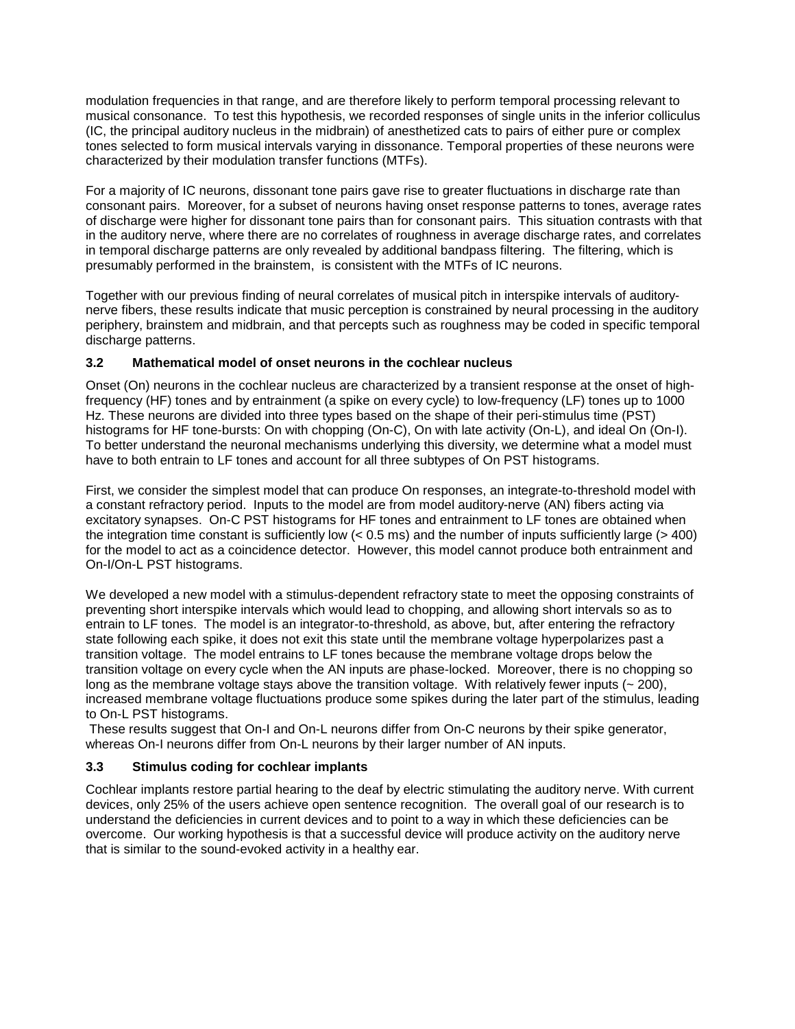modulation frequencies in that range, and are therefore likely to perform temporal processing relevant to musical consonance. To test this hypothesis, we recorded responses of single units in the inferior colliculus (IC, the principal auditory nucleus in the midbrain) of anesthetized cats to pairs of either pure or complex tones selected to form musical intervals varying in dissonance. Temporal properties of these neurons were characterized by their modulation transfer functions (MTFs).

For a majority of IC neurons, dissonant tone pairs gave rise to greater fluctuations in discharge rate than consonant pairs. Moreover, for a subset of neurons having onset response patterns to tones, average rates of discharge were higher for dissonant tone pairs than for consonant pairs. This situation contrasts with that in the auditory nerve, where there are no correlates of roughness in average discharge rates, and correlates in temporal discharge patterns are only revealed by additional bandpass filtering. The filtering, which is presumably performed in the brainstem, is consistent with the MTFs of IC neurons.

Together with our previous finding of neural correlates of musical pitch in interspike intervals of auditorynerve fibers, these results indicate that music perception is constrained by neural processing in the auditory periphery, brainstem and midbrain, and that percepts such as roughness may be coded in specific temporal discharge patterns.

### **3.2 Mathematical model of onset neurons in the cochlear nucleus**

Onset (On) neurons in the cochlear nucleus are characterized by a transient response at the onset of highfrequency (HF) tones and by entrainment (a spike on every cycle) to low-frequency (LF) tones up to 1000 Hz. These neurons are divided into three types based on the shape of their peri-stimulus time (PST) histograms for HF tone-bursts: On with chopping (On-C), On with late activity (On-L), and ideal On (On-I). To better understand the neuronal mechanisms underlying this diversity, we determine what a model must have to both entrain to LF tones and account for all three subtypes of On PST histograms.

First, we consider the simplest model that can produce On responses, an integrate-to-threshold model with a constant refractory period. Inputs to the model are from model auditory-nerve (AN) fibers acting via excitatory synapses. On-C PST histograms for HF tones and entrainment to LF tones are obtained when the integration time constant is sufficiently low (< 0.5 ms) and the number of inputs sufficiently large (> 400) for the model to act as a coincidence detector. However, this model cannot produce both entrainment and On-I/On-L PST histograms.

We developed a new model with a stimulus-dependent refractory state to meet the opposing constraints of preventing short interspike intervals which would lead to chopping, and allowing short intervals so as to entrain to LF tones. The model is an integrator-to-threshold, as above, but, after entering the refractory state following each spike, it does not exit this state until the membrane voltage hyperpolarizes past a transition voltage. The model entrains to LF tones because the membrane voltage drops below the transition voltage on every cycle when the AN inputs are phase-locked. Moreover, there is no chopping so long as the membrane voltage stays above the transition voltage. With relatively fewer inputs  $(-200)$ , increased membrane voltage fluctuations produce some spikes during the later part of the stimulus, leading to On-L PST histograms.

These results suggest that On-I and On-L neurons differ from On-C neurons by their spike generator, whereas On-I neurons differ from On-L neurons by their larger number of AN inputs.

### **3.3 Stimulus coding for cochlear implants**

Cochlear implants restore partial hearing to the deaf by electric stimulating the auditory nerve. With current devices, only 25% of the users achieve open sentence recognition. The overall goal of our research is to understand the deficiencies in current devices and to point to a way in which these deficiencies can be overcome. Our working hypothesis is that a successful device will produce activity on the auditory nerve that is similar to the sound-evoked activity in a healthy ear.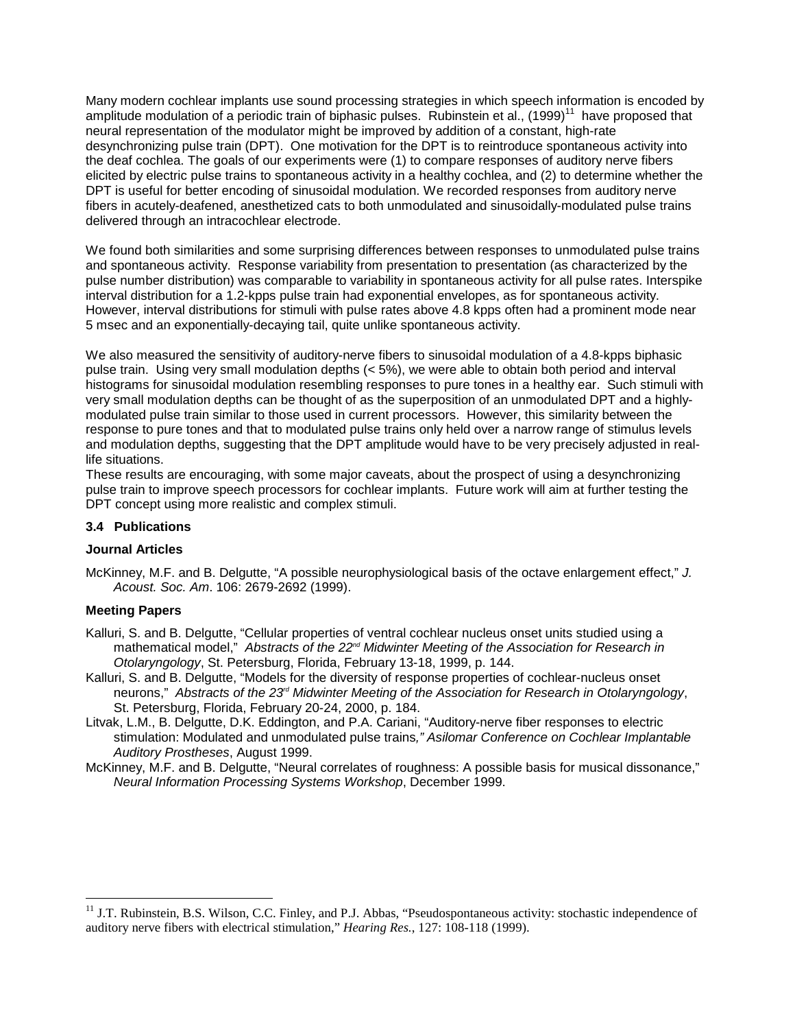Many modern cochlear implants use sound processing strategies in which speech information is encoded by amplitude modulation of a periodic train of biphasic pulses. Rubinstein et al., (1999)<sup>11</sup> have proposed that neural representation of the modulator might be improved by addition of a constant, high-rate desynchronizing pulse train (DPT). One motivation for the DPT is to reintroduce spontaneous activity into the deaf cochlea. The goals of our experiments were (1) to compare responses of auditory nerve fibers elicited by electric pulse trains to spontaneous activity in a healthy cochlea, and (2) to determine whether the DPT is useful for better encoding of sinusoidal modulation. We recorded responses from auditory nerve fibers in acutely-deafened, anesthetized cats to both unmodulated and sinusoidally-modulated pulse trains delivered through an intracochlear electrode.

We found both similarities and some surprising differences between responses to unmodulated pulse trains and spontaneous activity. Response variability from presentation to presentation (as characterized by the pulse number distribution) was comparable to variability in spontaneous activity for all pulse rates. Interspike interval distribution for a 1.2-kpps pulse train had exponential envelopes, as for spontaneous activity. However, interval distributions for stimuli with pulse rates above 4.8 kpps often had a prominent mode near 5 msec and an exponentially-decaying tail, quite unlike spontaneous activity.

We also measured the sensitivity of auditory-nerve fibers to sinusoidal modulation of a 4.8-kpps biphasic pulse train. Using very small modulation depths (< 5%), we were able to obtain both period and interval histograms for sinusoidal modulation resembling responses to pure tones in a healthy ear. Such stimuli with very small modulation depths can be thought of as the superposition of an unmodulated DPT and a highlymodulated pulse train similar to those used in current processors. However, this similarity between the response to pure tones and that to modulated pulse trains only held over a narrow range of stimulus levels and modulation depths, suggesting that the DPT amplitude would have to be very precisely adjusted in reallife situations.

These results are encouraging, with some major caveats, about the prospect of using a desynchronizing pulse train to improve speech processors for cochlear implants. Future work will aim at further testing the DPT concept using more realistic and complex stimuli.

#### **3.4 Publications**

#### **Journal Articles**

McKinney, M.F. and B. Delgutte, "A possible neurophysiological basis of the octave enlargement effect," *J. Acoust. Soc. Am*. 106: 2679-2692 (1999).

#### **Meeting Papers**

Kalluri, S. and B. Delgutte, "Cellular properties of ventral cochlear nucleus onset units studied using a mathematical model," Abstracts of the 22<sup>nd</sup> Midwinter Meeting of the Association for Research in *Otolaryngology*, St. Petersburg, Florida, February 13-18, 1999, p. 144.

- Kalluri, S. and B. Delgutte, "Models for the diversity of response properties of cochlear-nucleus onset neurons," *Abstracts of the 23rd Midwinter Meeting of the Association for Research in Otolaryngology*, St. Petersburg, Florida, February 20-24, 2000, p. 184.
- Litvak, L.M., B. Delgutte, D.K. Eddington, and P.A. Cariani, "Auditory-nerve fiber responses to electric stimulation: Modulated and unmodulated pulse trains*," Asilomar Conference on Cochlear Implantable Auditory Prostheses*, August 1999.
- McKinney, M.F. and B. Delgutte, "Neural correlates of roughness: A possible basis for musical dissonance," *Neural Information Processing Systems Workshop*, December 1999.

<sup>&</sup>lt;sup>11</sup> J.T. Rubinstein, B.S. Wilson, C.C. Finley, and P.J. Abbas, "Pseudospontaneous activity: stochastic independence of auditory nerve fibers with electrical stimulation," *Hearing Res.*, 127: 108-118 (1999).